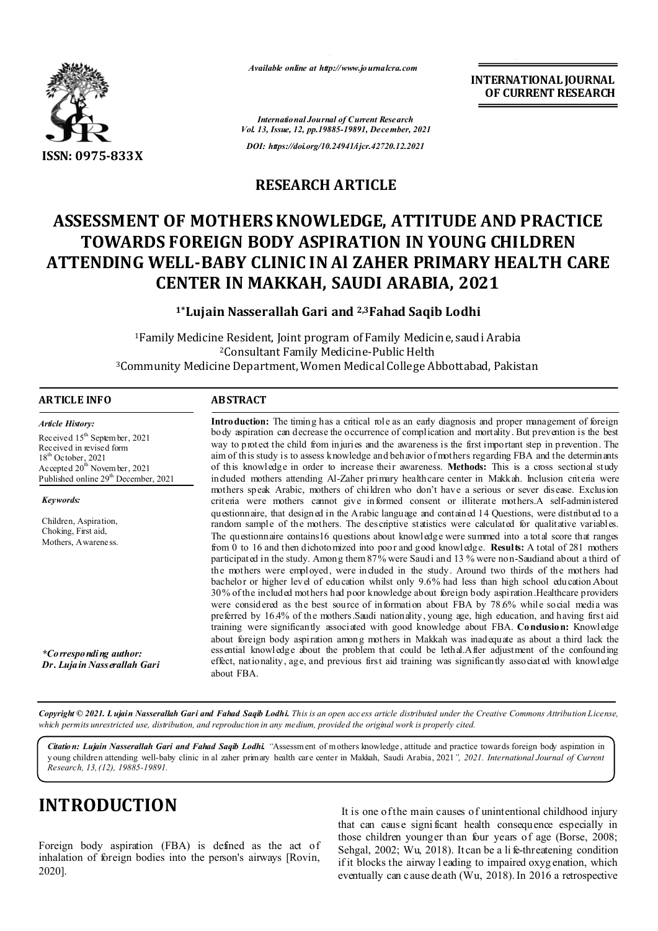

*Available online at http://www.journalcra.com*

**INTERNATIONAL JOURNAL OF CURRENT RESEARCH**

*International Journal of Current Research Vol. 13, Issue, 12, pp.19885-19891, December, 2021 DOI: https://doi.org/10.24941/ijcr.42720.12.2021*

### **RESEARCH ARTICLE**

# **ASSESSMENT OF MOTHERS KNOWLEDGE, ATTITUDE AND PRACTICE TOWARDS FOREIGN BODY ASPIRATION IN YOUNG CHILDREN ATTENDING WELL-BABY CLINIC IN Al ZAHER PRIMARY HEALTH CARE CENTER IN MAKKAH, SAUDI ARABIA, 2021**

**1\*Lujain Nasserallah Gari and 2,3Fahad Saqib Lodhi**

1Family Medicine Resident, Joint program of Family Medicine, saudi Arabia 2Consultant Family Medicine-Public Helth 3Community Medicine Department, Women Medical College Abbottabad, Pakistan

| ARTICLE INFO                                                                                                                                                                                                      | <b>ABSTRACT</b>                                                                                                                                                                                                                                                                                                                                                                                                                                                                                                                                                                                                                                                                                                                                                                                                                                                                                                                                                                                                                                                                                                                                                                                                                                                                                                                                                                                                                               |
|-------------------------------------------------------------------------------------------------------------------------------------------------------------------------------------------------------------------|-----------------------------------------------------------------------------------------------------------------------------------------------------------------------------------------------------------------------------------------------------------------------------------------------------------------------------------------------------------------------------------------------------------------------------------------------------------------------------------------------------------------------------------------------------------------------------------------------------------------------------------------------------------------------------------------------------------------------------------------------------------------------------------------------------------------------------------------------------------------------------------------------------------------------------------------------------------------------------------------------------------------------------------------------------------------------------------------------------------------------------------------------------------------------------------------------------------------------------------------------------------------------------------------------------------------------------------------------------------------------------------------------------------------------------------------------|
| Article History:<br>Received 15 <sup>th</sup> September, 2021<br>Received in revised form<br>$18th$ October, 2021<br>Accepted 20 <sup>th</sup> November, 2021<br>Published online 29 <sup>th</sup> December, 2021 | <b>Introduction:</b> The timing has a critical role as an early diagnosis and proper management of foreign<br>body aspiration can decrease the occurrence of complication and mortality. But prevention is the best<br>way to protect the child from injuries and the awareness is the first important step in prevention. The<br>aim of this study is to assess knowledge and behavior of mothers regarding FBA and the determinants<br>of this knowledge in order to increase their awareness. Methods: This is a cross sectional study<br>included mothers attending Al-Zaher primary healthcare center in Makkah. Inclusion criteria were                                                                                                                                                                                                                                                                                                                                                                                                                                                                                                                                                                                                                                                                                                                                                                                                 |
| Keywords:<br>Children, Aspiration,<br>Choking, First aid,<br>Mothers, Awareness.                                                                                                                                  | mothers speak Arabic, mothers of children who don't have a serious or sever disease. Exclusion<br>criteria were mothers cannot give informed consent or illiterate mothers. A self-administered<br>questionnaire, that designed in the Arabic language and contained 14 Questions, were distributed to a<br>random sample of the mothers. The descriptive statistics were calculated for qualitative variables.<br>The questionnaire contains 16 questions about knowledge were summed into a total score that ranges<br>from 0 to 16 and then dichotomized into poor and good knowledge. Results: A total of 281 mothers<br>participated in the study. Among them 87% were Saudi and 13 % were non-Saudiand about a third of<br>the mothers were employed, were included in the study. Around two thirds of the mothers had<br>bachelor or higher level of education whilst only 9.6% had less than high school education About<br>30% of the included mothers had poor knowledge about foreign body aspiration. Healthcare providers<br>were considered as the best source of information about FBA by 78.6% while social media was<br>preferred by 16.4% of the mothers Saudi nationality, young age, high education, and having first aid<br>training were significantly associated with good knowledge about FBA. Condusion: Knowledge<br>about foreign body aspiration among mothers in Makkah was inadequate as about a third lack the |
| *Co rresponding author:<br>Dr. Luja in Nass erallah Gari                                                                                                                                                          | essential knowledge about the problem that could be lethal.After adjustment of the confounding<br>effect, nationality, age, and previous first aid training was significantly associated with knowledge<br>about FBA.                                                                                                                                                                                                                                                                                                                                                                                                                                                                                                                                                                                                                                                                                                                                                                                                                                                                                                                                                                                                                                                                                                                                                                                                                         |

Copyright © 2021. Lujain Nasserallah Gari and Fahad Saqib Lodhi. This is an open access article distributed under the Creative Commons Attribution License, which permits unrestricted use, distribution, and reproduction in any medium, provided the original work is properly cited.

*Citation: Lujain Nasserallah Gari and Fahad Saqib Lodhi. "*Assessment of m others knowledge, attitude and practice towards foreign body aspiration in young children attending well-baby clinic in al zaher primary health care center in Makkah, Saudi Arabia, 2021*", 2021. International Journal of Current Research, 13,(12), 19885-19891.*

# **INTRODUCTION**

Foreign body aspiration (FBA) is defined as the act of inhalation of foreign bodies into the person's airways [Rovin, 2020].

It is one of the main causes of unintentional childhood injury that can cause signi ficant health consequence especially in those children younger than four years of age (Borse, 2008; Sehgal, 2002; Wu, 2018). It can be a life-threatening condition if it blocks the airway l eading to impaired oxyg enation, which eventually can cause death (Wu, 2018). In 2016 a retrospective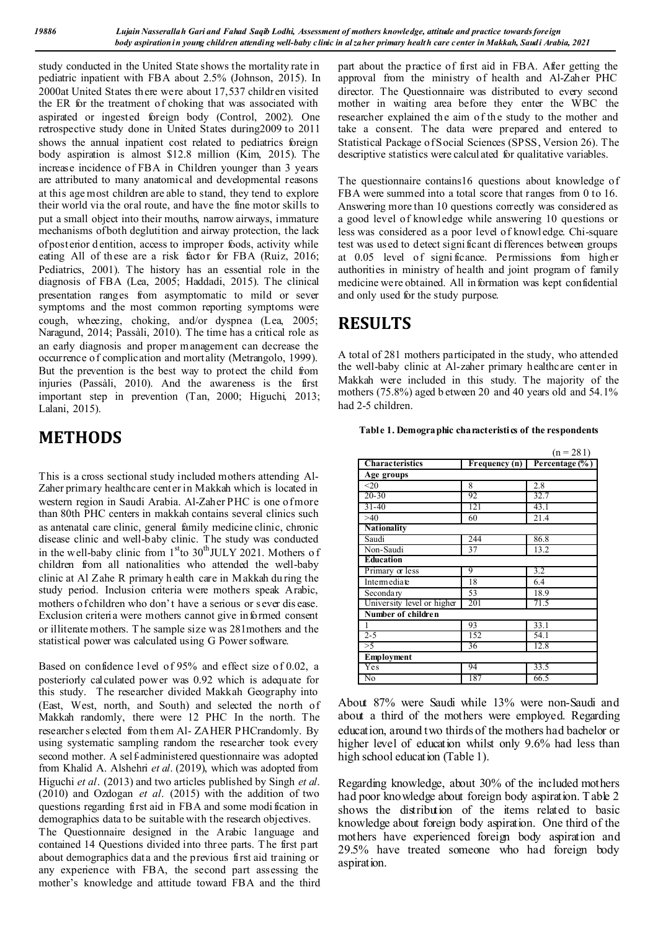study conducted in the United State shows the mortality rate in pediatric inpatient with FBA about 2.5% (Johnson, 2015). In 2000at United States there were about 17,537 children visited the ER for the treatment of choking that was associated with aspirated or ingested foreign body (Control, 2002). One retrospective study done in United States during2009 to 2011 shows the annual inpatient cost related to pediatrics foreign body aspiration is almost \$12.8 million (Kim, 2015). The increase incidence of FBA in Children younger than 3 years are attributed to many anatomical and developmental reasons at this age most children are able to stand, they tend to explore their world via the oral route, and have the fine motor skills to put a small object into their mouths, narrow airways, immature mechanisms of both deglutition and airway protection, the lack of posterior d entition, access to improper foods, activity while eating All of these are a risk factor for FBA (Ruiz, 2016; Pediatrics, 2001). The history has an essential role in the diagnosis of FBA (Lea, 2005; Haddadi, 2015). The clinical presentation ranges from asymptomatic to mild or sever symptoms and the most common reporting symptoms were cough, wheezing, choking, and/or dyspnea (Lea, 2005; Naragund, 2014; Passàli, 2010). The time has a critical role as an early diagnosis and proper management can decrease the occurrence of complication and mortality (Metrangolo, 1999). But the prevention is the best way to protect the child from injuries (Passàli, 2010). And the awareness is the first important step in prevention (Tan, 2000; Higuchi, 2013; Lalani, 2015).

## **METHODS**

This is a cross sectional study included mothers attending Al-Zaher primary healthcare center in Makkah which is located in western region in Saudi Arabia. Al-Zaher PHC is one of more than 80th PHC centers in makkah contains several clinics such as antenatal care clinic, general family medicine clinic, chronic disease clinic and well-baby clinic. The study was conducted in the well-baby clinic from  $1<sup>st</sup>$  to  $30<sup>th</sup>$  JULY 2021. Mothers of children from all nationalities who attended the well-baby clinic at Al Zahe R primary h ealth care in Makkah du ring the study period. Inclusion criteria were mothers speak Arabic, mothers o f children who don't have a serious or s ever dis ease. Exclusion criteria were mothers cannot give informed consent or illiterate mothers. T he sample size was 281mothers and the statistical power was calculated using G Power software.

Based on confidence level of 95% and effect size of 0.02, a posteriorly calculated power was 0.92 which is adequate for this study. The researcher divided Makkah Geography into (East, West, north, and South) and selected the north of Makkah randomly, there were 12 PHC In the north. The researcher s elected from them Al- ZAHER PHCrandomly. By using systematic sampling random the researcher took every second mother. A self-administered questionnaire was adopted from Khalid A. Alshehri *et al*. (2019), which was adopted from Higuchi *et al*. (2013) and two articles published by Singh *et al*. (2010) and Ozdogan *et al*. (2015) with the addition of two questions regarding first aid in FBA and some modi fication in demographics data to be suitable with the research objectives.

The Questionnaire designed in the Arabic language and contained 14 Questions divided into three parts. T he first part about demographics data and the previous first aid training or any experience with FBA, the second part assessing the mother's knowledge and attitude toward FBA and the third part about the practice of first aid in FBA. After getting the approval from the ministry of health and Al-Zaher PHC director. The Questionnaire was distributed to every second mother in waiting area before they enter the WBC the researcher explained the aim of the study to the mother and take a consent. The data were prepared and entered to Statistical Package of Social Sciences (SPSS, Version 26). The descriptive statistics were calculated for qualitative variables.

The questionnaire contains16 questions about knowledge of FBA were summed into a total score that ranges from 0 to 16. Answering more than 10 questions correctly was considered as a good level of knowledge while answering 10 questions or less was considered as a poor level of knowledge. Chi-square test was used to detect significant di fferences between groups at 0.05 level of signi ficance. Permissions from higher authorities in ministry of health and joint program of family medicine were obtained. All information was kept confidential and only used for the study purpose.

## **RESULTS**

A total of 281 mothers participated in the study, who attended the well-baby clinic at Al-zaher primary healthcare center in Makkah were included in this study. The majority of the mothers (75.8%) aged b etween 20 and 40 years old and 54.1% had 2-5 children.

**Table 1. Demographic characteristics of the respondents**

|                            |               | $(n = 281)$    |  |  |  |
|----------------------------|---------------|----------------|--|--|--|
| <b>Characteristics</b>     | Frequency (n) | Percentage (%) |  |  |  |
| Age groups                 |               |                |  |  |  |
| $20$                       | 8             | 2.8            |  |  |  |
| $20 - 30$                  | 92            | 32.7           |  |  |  |
| $31 - 40$                  | 121           | 43.1           |  |  |  |
| >40                        | 60            | 21.4           |  |  |  |
| <b>Nationality</b>         |               |                |  |  |  |
| Saudi                      | 244           | 86.8           |  |  |  |
| Non-Saudi                  | 37            | 13.2           |  |  |  |
| <b>Education</b>           |               |                |  |  |  |
| Primary or less            | 9             | 3.2            |  |  |  |
| Intermediate               | 18            | 6.4            |  |  |  |
| Secondary                  | 53            | 18.9           |  |  |  |
| University level or higher | 201           | 71.5           |  |  |  |
| Number of children         |               |                |  |  |  |
| 1                          | 93            | 33.1           |  |  |  |
| $2 - 5$                    | 152           | 54.1           |  |  |  |
| >5                         | 36            | 12.8           |  |  |  |
| <b>Employment</b>          |               |                |  |  |  |
| Yes                        | 94            | 33.5           |  |  |  |
| No                         | 187           | 66.5           |  |  |  |

About 87% were Saudi while 13% were non-Saudi and about a third of the mothers were employed. Regarding education, around two thirds of the mothers had bachelor or higher level of education whilst only 9.6% had less than high school education (Table 1).

Regarding knowledge, about 30% of the included mothers had poor knowledge about foreign body aspiration. Table 2 shows the distribution of the items related to basic knowledge about foreign body aspiration. One third of the mothers have experienced foreign body aspiration and 29.5% have treated someone who had foreign body aspiration.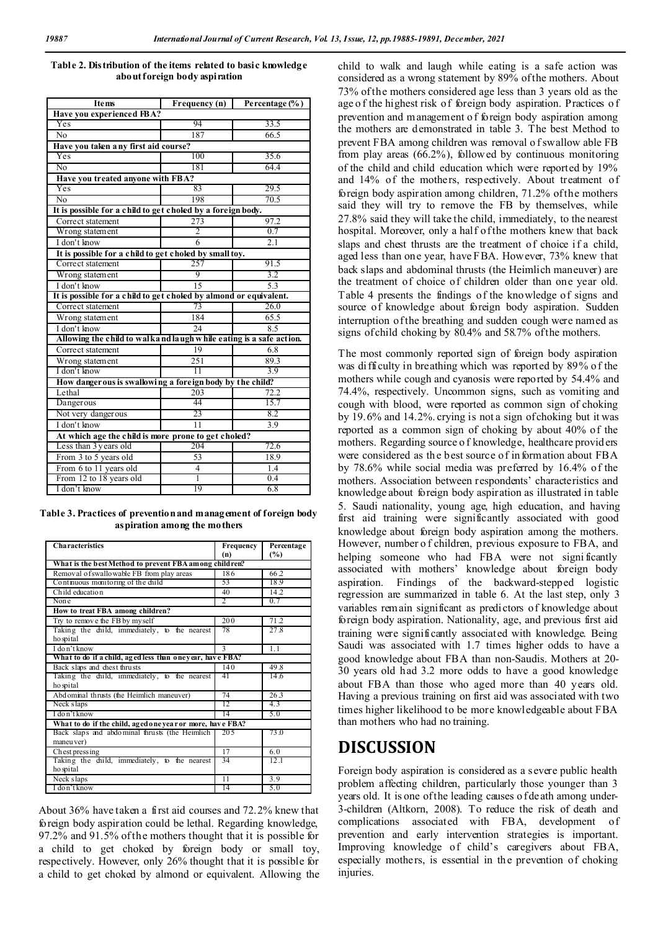| Ite ms                                                             | Frequency $(n)$          | Percentage (%)   |  |  |  |
|--------------------------------------------------------------------|--------------------------|------------------|--|--|--|
| Have you experienced FBA?                                          |                          |                  |  |  |  |
| Yes                                                                | 94                       | 33.5             |  |  |  |
| No                                                                 | 187                      | 66.5             |  |  |  |
| Have you taken any first aid course?                               |                          |                  |  |  |  |
| Yes                                                                | 100                      | 35.6             |  |  |  |
| No                                                                 | 181                      | 64.4             |  |  |  |
| Have you treated anyone with FBA?                                  |                          |                  |  |  |  |
| Yes                                                                | 83                       | 29.5             |  |  |  |
| No                                                                 | 198                      | 70.5             |  |  |  |
| It is possible for a child to get choled by a foreign body.        |                          |                  |  |  |  |
| Corre ct statement                                                 | 273                      | 97.2             |  |  |  |
| Wrong statement                                                    | $\overline{\mathcal{L}}$ | 0.7              |  |  |  |
| I don't know                                                       | 6                        | 2.1              |  |  |  |
| It is possible for a child to get choled by small toy.             |                          |                  |  |  |  |
| Corre ct statement                                                 | 257                      | 91.5             |  |  |  |
| Wrong statement                                                    | 9                        | 3.2              |  |  |  |
| I don't know                                                       | 15                       | 5.3              |  |  |  |
| It is possible for a child to get choled by almond or equivalent.  |                          |                  |  |  |  |
| Correct statement                                                  | 73                       | 26.0             |  |  |  |
| Wrong statement                                                    | 184                      | 65.5             |  |  |  |
| I don't know                                                       | $\overline{24}$          | 8.5              |  |  |  |
| Allowing the child to walkand laugh while eating is a safe action. |                          |                  |  |  |  |
| Correct statement                                                  | 19                       | 6.8              |  |  |  |
| Wrong statement                                                    | 251                      | 89.3             |  |  |  |
| I don't know                                                       | $\overline{11}$          | 3.9              |  |  |  |
| How danger ous is swallowing a foreign body by the child?          |                          |                  |  |  |  |
| Lethal                                                             | 203                      | 72.2             |  |  |  |
| Dangerous                                                          | 44                       | 15.7             |  |  |  |
| Not very dangerous                                                 | 23                       | 8.2              |  |  |  |
| I don't know                                                       | 11                       | $\overline{3.9}$ |  |  |  |
| At which age the child is more prone to get choled?                |                          |                  |  |  |  |
| Less than 3 years old                                              | 204                      | 72.6             |  |  |  |
| From 3 to 5 years old                                              | 53                       | 18.9             |  |  |  |
| From 6 to 11 years old                                             | 4                        | 1.4              |  |  |  |
| From 12 to 18 years old                                            | 1                        | 0.4              |  |  |  |
| I don't know                                                       | 19                       | 6.8              |  |  |  |

#### **Table 2. Distribution of the items related to basic knowledge about foreign body aspiration**

**Table 3. Practices of prevention and management of foreign body aspiration among the mothers**

| <b>Characteristics</b>                                    | Frequency                                              | Percentage |  |  |  |
|-----------------------------------------------------------|--------------------------------------------------------|------------|--|--|--|
|                                                           | (n)                                                    | $(\%)$     |  |  |  |
|                                                           | What is the best Method to prevent FBA among children? |            |  |  |  |
| Removal of swallo wable FB from play areas                | 186                                                    | 66.2       |  |  |  |
| Continuous monitoring of the child                        | 53                                                     | 18.9       |  |  |  |
| Child education                                           | 40                                                     | 14.2       |  |  |  |
| Non e                                                     | 2                                                      | 0.7        |  |  |  |
| How to treat FBA among children?                          |                                                        |            |  |  |  |
| Try to remove the FB by myself                            | 200                                                    | 71.2       |  |  |  |
| Taking the child, immediately, to the nearest             | 78                                                     | 27.8       |  |  |  |
| ho spital                                                 |                                                        |            |  |  |  |
| I don't know                                              | $\mathbf{3}$                                           | 1.1        |  |  |  |
| What to do if a child, aged less than oneyear, have FBA?  |                                                        |            |  |  |  |
| Back slaps and chest thrusts                              | 140                                                    | 49.8       |  |  |  |
| Taking the child, immediately, to the nearest             | 41                                                     | 14.6       |  |  |  |
| ho spital                                                 |                                                        |            |  |  |  |
| Abd ominal thrusts (the Heimlich maneuver)                | 74                                                     | 26.3       |  |  |  |
| Neck slaps                                                | 12                                                     | 4.3        |  |  |  |
| I do n't know                                             | 14                                                     | 5.0        |  |  |  |
| What to do if the child, aged one year or more, have FBA? |                                                        |            |  |  |  |
| Back slaps and abdominal thrusts (the Heimlich            | 20.5                                                   | 73 Q       |  |  |  |
| maneu ver)                                                |                                                        |            |  |  |  |
| Chest pressing                                            | 17                                                     | 6.0        |  |  |  |
| Taking the child, immediately, to the nearest             | 34                                                     | 12.1       |  |  |  |
| ho spital                                                 |                                                        |            |  |  |  |
| Neck slaps                                                | 11                                                     | 3.9        |  |  |  |
| I don't know                                              | 14                                                     | 5.0        |  |  |  |

About 36% have taken a first aid courses and 72.2% knew that foreign body aspiration could be lethal. Regarding knowledge, 97.2% and 91.5% of the mothers thought that it is possible for a child to get choked by foreign body or small toy, respectively. However, only 26% thought that it is possible for a child to get choked by almond or equivalent. Allowing the child to walk and laugh while eating is a safe action was considered as a wrong statement by 89% of the mothers. About 73% of the mothers considered age less than 3 years old as the age o f the highest risk of foreign body aspiration. Practices o f prevention and management o f foreign body aspiration among the mothers are demonstrated in table 3. The best Method to prevent FBA among children was removal o f swallow able FB from play areas (66.2%), followed by continuous monitoring of the child and child education which were reported by 19% and 14% of the mothers, respectively. About treatment of foreign body aspiration among children, 71.2% of the mothers said they will try to remove the FB by themselves, while 27.8% said they will take the child, immediately, to the nearest hospital. Moreover, only a half of the mothers knew that back slaps and chest thrusts are the treatment of choice if a child, aged less than one year, have FBA. However, 73% knew that back slaps and abdominal thrusts (the Heimlich maneuver) are the treatment of choice of children older than one year old. Table 4 presents the findings of the knowledge of signs and source of knowledge about foreign body aspiration. Sudden interruption of the breathing and sudden cough were named as signs of child choking by 80.4% and 58.7% of the mothers.

The most commonly reported sign of foreign body aspiration was difficulty in breathing which was reported by 89% of the mothers while cough and cyanosis were reported by 54.4% and 74.4%, respectively. Uncommon signs, such as vomiting and cough with blood, were reported as common sign of choking by 19.6% and 14.2%. crying is not a sign of choking but it was reported as a common sign of choking by about 40% of the mothers. Regarding source o f knowledge, healthcare provid ers were considered as the best source of in formation about FBA by 78.6% while social media was preferred by 16.4% of the mothers. Association between respondents' characteristics and knowledge about foreign body aspiration as illustrated in table 5. Saudi nationality, young age, high education, and having first aid training were significantly associated with good knowledge about foreign body aspiration among the mothers. However, number o f children, previous exposure to FBA, and helping someone who had FBA were not significantly associated with mothers' knowledge about foreign body aspiration. Findings of the backward-stepped logistic regression are summarized in table 6. At the last step, only 3 variables remain significant as predictors of knowledge about foreign body aspiration. Nationality, age, and previous first aid training were significantly associated with knowledge. Being Saudi was associated with 1.7 times higher odds to have a good knowledge about FBA than non-Saudis. Mothers at 20- 30 years old had 3.2 more odds to have a good knowledge about FBA than those who aged more than 40 years old. Having a previous training on first aid was associated with two times higher likelihood to be more knowledgeable about FBA than mothers who had no training.

### **DISCUSSION**

Foreign body aspiration is considered as a severe public health problem affecting children, particularly those younger than 3 years old. It is one of the leading causes o f death among under-3-children (Altkorn, 2008). To reduce the risk of death and complications associated with FBA, development of prevention and early intervention strategies is important. Improving knowledge of child's caregivers about FBA, especially mothers, is essential in the prevention of choking injuries.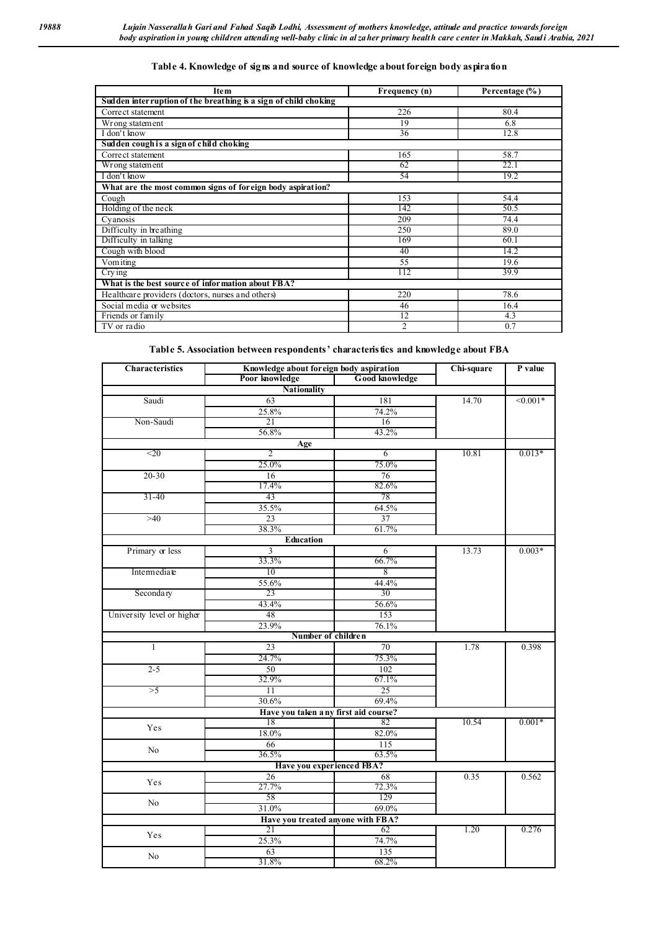| <b>Item</b>                                                      | Frequency (n)  | Percentage (%) |  |  |
|------------------------------------------------------------------|----------------|----------------|--|--|
| Sudden inter ruption of the breathing is a sign of child choking |                |                |  |  |
| Correct statement                                                | 226            | 80.4           |  |  |
| Wrong statement                                                  | 19             | 6.8            |  |  |
| I don't know                                                     | 36             | 12.8           |  |  |
| Sudden cough is a sign of child choking                          |                |                |  |  |
| Correct statement                                                | 165            | 58.7           |  |  |
| Wrong statement                                                  | 62             | 22.1           |  |  |
| I don't know                                                     | 54             | 19.2           |  |  |
| What are the most common signs of foreign body aspiration?       |                |                |  |  |
| Cough                                                            | 153            | 54.4           |  |  |
| Holding of the neck                                              | 142            | 50.5           |  |  |
| Cyanosis                                                         | 209            | 74.4           |  |  |
| Difficulty in breathing                                          | 250            | 89.0           |  |  |
| Difficulty in talking                                            | 169            | 60.1           |  |  |
| Cough with blood                                                 | 40             | 14.2           |  |  |
| Vom iting                                                        | 55             | 19.6           |  |  |
| Crying                                                           | 112            | 39.9           |  |  |
| What is the best source of information about FBA?                |                |                |  |  |
| Healthcare providers (doctors, nurses and others)                | 220            | 78.6           |  |  |
| Social media or websites                                         | 46             | 16.4           |  |  |
| Friends or family                                                | 12             | 4.3            |  |  |
| TV or radio                                                      | $\overline{2}$ | 0.7            |  |  |

### **Table 4. Knowledge of signs and source of knowledge about foreign body aspiration**

#### **Table 5. Association between respondents' characteristics and knowledge about FBA**

| <b>Characteristics</b>     | Knowledge about foreign body aspiration |                                      | Chi-square | P value    |
|----------------------------|-----------------------------------------|--------------------------------------|------------|------------|
|                            | Poor knowledge                          | .<br>Good knowledge                  |            |            |
|                            | <b>Nationality</b>                      |                                      |            |            |
| Saudi                      | 63                                      | 181                                  | 14.70      | $< 0.001*$ |
|                            | 25.8%                                   | 74.2%                                |            |            |
| Non-Saudi                  | 21                                      | 16                                   |            |            |
|                            | 56.8%                                   | 43.2%                                |            |            |
|                            | Age                                     |                                      |            |            |
| $20$                       |                                         | 6                                    | 10.81      | $0.013*$   |
|                            | 25.0%                                   | 75.0%                                |            |            |
| $20 - 30$                  | $\overline{16}$                         | 76                                   |            |            |
|                            | 17.4%                                   | 82.6%                                |            |            |
| $31 - 40$                  | 43                                      | 78                                   |            |            |
|                            | 35.5%                                   | 64.5%                                |            |            |
| >40                        | 23                                      | 37                                   |            |            |
|                            | 38.3%                                   | 61.7%                                |            |            |
|                            | <b>Education</b>                        |                                      |            |            |
| Primary or less            | 3                                       | 6                                    | 13.73      | $0.003*$   |
|                            | 33.3%                                   | 66.7%                                |            |            |
| Intermediate               | 10                                      | 8                                    |            |            |
|                            | 55.6%                                   | 44.4%                                |            |            |
| Secondary                  | 23                                      | 30                                   |            |            |
|                            | 43.4%                                   | 56.6%                                |            |            |
| University level or higher | 48                                      | 153                                  |            |            |
|                            | 23.9%                                   | 76.1%                                |            |            |
|                            |                                         | Number of children                   |            |            |
| $\mathbf{1}$               | $\overline{23}$                         | $\overline{70}$                      | 1.78       | 0.398      |
|                            | 24.7%                                   | 75.3%                                |            |            |
| $2 - 5$                    | 50                                      | 102                                  |            |            |
|                            | 32.9%                                   | 67.1%                                |            |            |
| >5                         | $\overline{11}$                         | 25                                   |            |            |
|                            | 30.6%                                   | 69.4%                                |            |            |
|                            |                                         | Have you taken any first aid course? |            |            |
| Yes                        | 18                                      | 82                                   | 10.54      | $0.001*$   |
|                            | 18.0%                                   | 82.0%                                |            |            |
| No                         | 66                                      | 115                                  |            |            |
|                            | 36.5%                                   | 63.5%                                |            |            |
|                            |                                         | Have you experienced FBA?            |            |            |
| Yes                        | 26                                      | 68                                   | 0.35       | 0.562      |
|                            | 27.7%                                   | 72.3%                                |            |            |
| No                         | 58                                      | 129                                  |            |            |
|                            | 31.0%                                   | 69.0%                                |            |            |
|                            |                                         | Have you treated anyone with FBA?    |            |            |
| Yes                        | 21                                      | 62                                   | 1.20       | 0.276      |
|                            | 25.3%                                   | 74.7%                                |            |            |
| No                         | 63                                      | 135                                  |            |            |
|                            | 31.8%                                   | 68.2%                                |            |            |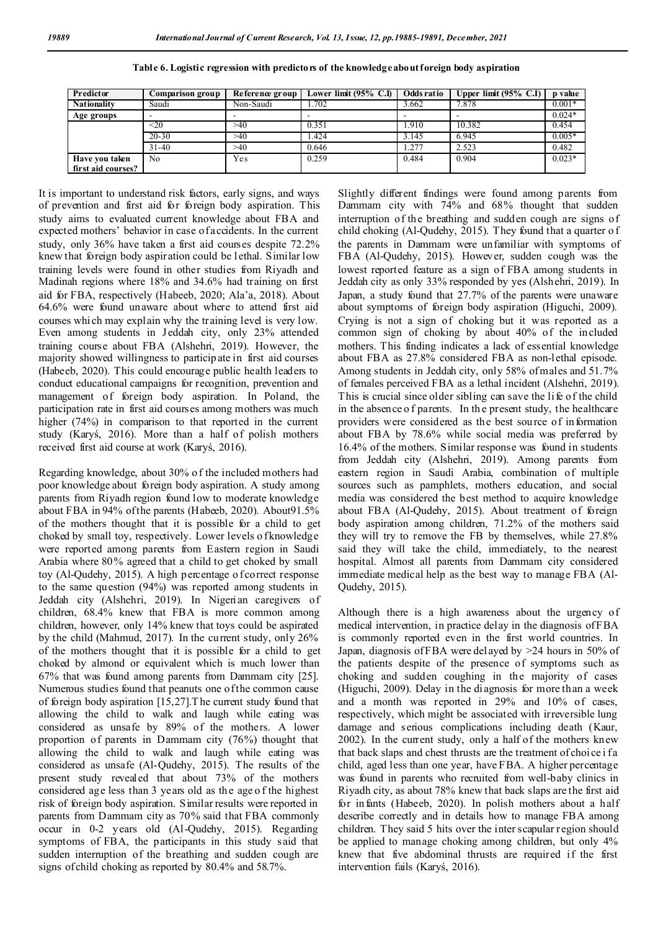| Predictor          | Comparison group | Reference group |       |       | Lower limit (95% C.I)   Odds ratio   Upper limit (95% C.I) | <b>p</b> value |
|--------------------|------------------|-----------------|-------|-------|------------------------------------------------------------|----------------|
| <b>Nationality</b> | Saudi            | Non-Saudi       | 1.702 | 3.662 | 7.878                                                      | $0.001*$       |
| Age groups         |                  |                 |       |       |                                                            | $0.024*$       |
|                    | <20              | >40             | 0.351 | .910  | 10.382                                                     | 0.454          |
|                    | $20 - 30$        | >40             | .424  | 3.145 | 6.945                                                      | $0.005*$       |
|                    | $31 - 40$        | >40             | 0.646 | .277  | 2.523                                                      | 0.482          |
| Have you taken     | No               | Yes             | 0.259 | 0.484 | 0.904                                                      | $0.023*$       |
| first aid courses? |                  |                 |       |       |                                                            |                |

| Table 6. Logistic regression with predictors of the knowledge about foreign body aspiration |  |  |
|---------------------------------------------------------------------------------------------|--|--|
|                                                                                             |  |  |

It is important to understand risk factors, early signs, and ways of prevention and first aid for foreign body aspiration. This study aims to evaluated current knowledge about FBA and expected mothers' behavior in case of accidents. In the current study, only 36% have taken a first aid courses despite 72.2% knew that foreign body aspiration could be l ethal. Similar low training levels were found in other studies from Riyadh and Madinah regions where 18% and 34.6% had training on first aid for FBA, respectively (Habeeb, 2020; Ala'a, 2018). About 64.6% were found unaware about where to attend first aid courses whi ch may explain why the training level is very low. Even among students in Jeddah city, only 23% attended training course about FBA (Alshehri, 2019). However, the majority showed willingness to participate in first aid courses (Habeeb, 2020). This could encourage public health leaders to conduct educational campaigns for recognition, prevention and management of foreign body aspiration. In Poland, the participation rate in first aid courses among mothers was much higher (74%) in comparison to that reported in the current study (Karyś, 2016). More than a half of polish mothers received first aid course at work (Karyś, 2016).

Regarding knowledge, about 30% o f the included mothers had poor knowledge about foreign body aspiration. A study among parents from Riyadh region found low to moderate knowledge about FBA in 94% of the parents (Habeeb, 2020). About91.5% of the mothers thought that it is possible for a child to get choked by small toy, respectively. Lower levels o fknowledge were reported among parents from Eastern region in Saudi Arabia where 80% agreed that a child to get choked by small toy (Al-Qudehy, 2015). A high percentage o f correct response to the same question (94%) was reported among students in Jeddah city (Alshehri, 2019). In Nigerian caregivers of children, 68.4% knew that FBA is more common among children, however, only 14% knew that toys could be aspirated by the child (Mahmud, 2017). In the current study, only 26% of the mothers thought that it is possible for a child to get choked by almond or equivalent which is much lower than 67% that was found among parents from Dammam city [25]. Numerous studies found that peanuts one of the common cause of foreign body aspiration [15,27].T he current study found that allowing the child to walk and laugh while eating was considered as unsafe by 89% of the mothers. A lower proportion of parents in Dammam city (76%) thought that allowing the child to walk and laugh while eating was considered as unsafe (Al-Qudehy, 2015). The results of the present study revealed that about 73% of the mothers considered age less than 3 years old as the age o f the highest risk of foreign body aspiration. Similar results were reported in parents from Dammam city as 70% said that FBA commonly occur in 0-2 years old (Al-Qudehy, 2015). Regarding symptoms of FBA, the participants in this study said that sudden interruption of the breathing and sudden cough are signs of child choking as reported by 80.4% and 58.7%.

Slightly different findings were found among parents from Dammam city with 74% and 68% thought that sudden interruption of the breathing and sudden cough are signs of child choking (Al-Qudehy, 2015). They found that a quarter o f the parents in Dammam were unfamiliar with symptoms of FBA (Al-Qudehy, 2015). However, sudden cough was the lowest reported feature as a sign of FBA among students in Jeddah city as only 33% responded by yes (Alshehri, 2019). In Japan, a study found that 27.7% of the parents were unaware about symptoms of foreign body aspiration (Higuchi, 2009). Crying is not a sign of choking but it was reported as a common sign of choking by about 40% of the included mothers. This finding indicates a lack of essential knowledge about FBA as 27.8% considered FBA as non-lethal episode. Among students in Jeddah city, only 58% of males and 51.7% of females perceived FBA as a lethal incident (Alshehri, 2019). This is crucial since older sibling can save the life of the child in the absence of parents. In the present study, the healthcare providers were considered as the best source of information about FBA by 78.6% while social media was preferred by 16.4% of the mothers. Similar response was found in students from Jeddah city (Alshehri, 2019). Among parents from eastern region in Saudi Arabia, combination of multiple sources such as pamphlets, mothers education, and social media was considered the best method to acquire knowledge about FBA (Al-Qudehy, 2015). About treatment of foreign body aspiration among children, 71.2% of the mothers said they will try to remove the FB by themselves, while 27.8% said they will take the child, immediately, to the nearest hospital. Almost all parents from Dammam city considered immediate medical help as the best way to manage FBA (Al-Qudehy, 2015).

Although there is a high awareness about the urgency of medical intervention, in practice delay in the diagnosis of FBA is commonly reported even in the first world countries. In Japan, diagnosis of FBA were del ayed by >24 hours in 50% of the patients despite of the presence of symptoms such as choking and sudden coughing in the majority of cases (Higuchi, 2009). Delay in the di agnosis for more than a week and a month was reported in 29% and 10% of cases, respectively, which might be associated with irreversible lung damage and serious complications including death (Kaur, 2002). In the current study, only a half of the mothers knew that back slaps and chest thrusts are the treatment of choi ce i fa child, aged less than one year, have FBA. A higher percentage was found in parents who recruited from well-baby clinics in Riyadh city, as about 78% knew that back slaps are the first aid for infants (Habeeb, 2020). In polish mothers about a half describe correctly and in details how to manage FBA among children. They said 5 hits over the inter scapular region should be applied to manage choking among children, but only 4% knew that five abdominal thrusts are required if the first intervention fails (Karyś, 2016).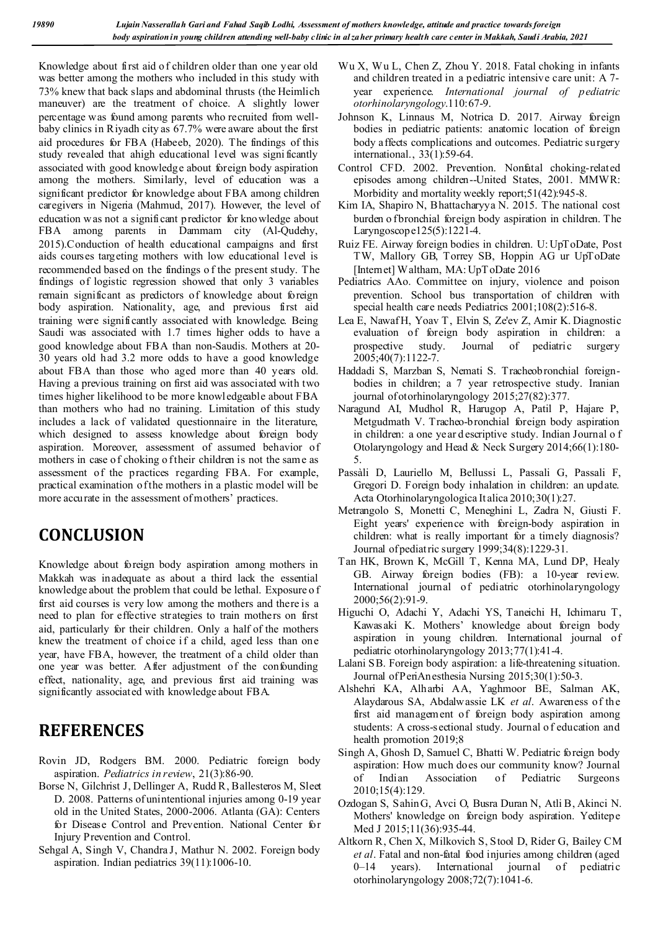Knowledge about first aid o f children older than one year old was better among the mothers who included in this study with 73% knew that back slaps and abdominal thrusts (the Heimlich maneuver) are the treatment of choice. A slightly lower percentage was found among parents who recruited from wellbaby clinics in Riyadh city as 67.7% were aware about the first aid procedures for FBA (Habeeb, 2020). The findings of this study revealed that ahigh educational level was signi ficantly associated with good knowledge about foreign body aspiration among the mothers. Similarly, level of education was a significant predictor for knowledge about FBA among children caregivers in Nigeria (Mahmud, 2017). However, the level of education w as not a significant predictor for knowledge about FBA among parents in Dammam city (Al-Qudehy, 2015).Conduction of health educational campaigns and first aids courses targeting mothers with low educational level is recommended based on the findings o f the present study. The findings of logistic regression showed that only 3 variables remain significant as predictors of knowledge about foreign body aspiration. Nationality, age, and previous first aid training were significantly associated with knowledge. Being Saudi was associated with 1.7 times higher odds to have a good knowledge about FBA than non-Saudis. Mothers at 20- 30 years old had 3.2 more odds to have a good knowledge about FBA than those who aged more than 40 years old. Having a previous training on first aid was associated with two times higher likelihood to be more knowledgeable about FBA than mothers who had no training. Limitation of this study includes a lack of validated questionnaire in the literature, which designed to assess knowledge about foreign body aspiration. Moreover, assessment of assumed behavior of mothers in case of choking of their children is not the same as assessment of the practices regarding FBA. For example, practical examination of the mothers in a plastic model will be more accurate in the assessment of mothers' practices.

## **CONCLUSION**

Knowledge about foreign body aspiration among mothers in Makkah was inadequate as about a third lack the essential knowledge about the problem that could be lethal. Exposure o f first aid courses is very low among the mothers and there is a need to plan for effective strategies to train mothers on first aid, particularly for their children. Only a half of the mothers knew the treatment of choice if a child, aged less than one year, have FBA, however, the treatment of a child older than one year was better. After adjustment of the confounding effect, nationality, age, and previous first aid training was significantly associated with knowledge about FBA.

## **REFERENCES**

- Rovin JD, Rodgers BM. 2000. Pediatric foreign body aspiration. *Pediatrics in review*, 21(3):86-90.
- Borse N, Gilchrist J, Dellinger A, Rudd R, Ballesteros M, Sleet D. 2008. Patterns of unintentional injuries among 0-19 year old in the United States, 2000-2006. Atlanta (GA): Centers for Disease Control and Prevention. National Center for Injury Prevention and Control.
- Sehgal A, Singh V, Chandra J, Mathur N. 2002. Foreign body aspiration. Indian pediatrics 39(11):1006-10.
- Wu X, Wu L, Chen Z, Zhou Y. 2018. Fatal choking in infants and children treated in a pediatric intensive care unit: A 7 year experience. *International journal of pediatric otorhinolaryngology*.110:67-9.
- Johnson K, Linnaus M, Notrica D. 2017. Airway foreign bodies in pediatric patients: anatomic location of foreign body affects complications and outcomes. Pediatric surgery international., 33(1):59-64.
- Control CFD. 2002. Prevention. Nonfatal choking-related episodes among children--United States, 2001. MMWR: Morbidity and mortality weekly report;51(42):945-8.
- Kim IA, Shapiro N, Bhattacharyya N. 2015. The national cost burden o fbronchial foreign body aspiration in children. The Laryngoscope125(5):1221-4.
- Ruiz FE. Airway foreign bodies in children. U: UpToDate, Post TW, Mallory GB, Torrey SB, Hoppin AG ur UpToDate [Internet] Waltham, MA: UpToDate 2016
- Pediatrics AAo. Committee on injury, violence and poison prevention. School bus transportation of children with special health care needs Pediatrics 2001;108(2):516-8.
- Lea E, Nawaf H, Yoav T, Elvin S, Ze'ev Z, Amir K. Diagnostic evaluation of foreign body aspiration in children: a prospective study. Journal of pediatric surgery 2005;40(7):1122-7.
- Haddadi S, Marzban S, Nemati S. Tracheobronchial foreignbodies in children; a 7 year retrospective study. Iranian journal of otorhinolaryngology 2015;27(82):377.
- Naragund AI, Mudhol R, Harugop A, Patil P, Hajare P, Metgudmath V. Tracheo-bronchial foreign body aspiration in children: a one year d escriptive study. Indian Journal o f Otolaryngology and Head & Neck Surgery 2014;66(1):180- 5.
- Passàli D, Lauriello M, Bellussi L, Passali G, Passali F, Gregori D. Foreign body inhalation in children: an update. Acta Otorhinolaryngologica It alica 2010;30(1):27.
- Metrangolo S, Monetti C, Meneghini L, Zadra N, Giusti F. Eight years' experience with foreign-body aspiration in children: what is really important for a timely diagnosis? Journal of pediatric surgery 1999;34(8):1229-31.
- Tan HK, Brown K, McGill T, Kenna MA, Lund DP, Healy GB. Airway foreign bodies (FB): a 10-year review. International journal of pediatric otorhinolaryngology 2000;56(2):91-9.
- Higuchi O, Adachi Y, Adachi YS, Taneichi H, Ichimaru T, Kawasaki K. Mothers' knowledge about foreign body aspiration in young children. International journal of pediatric otorhinolaryngology 2013;77(1):41-4.
- Lalani SB. Foreign body aspiration: a life-threatening situation. Journal of PeriAnesthesia Nursing 2015;30(1):50-3.
- Alshehri KA, Alharbi AA, Yaghmoor BE, Salman AK, Alaydarous SA, Abdalwassie LK *et al*. Awareness of the first aid management of foreign body aspiration among students: A cross-sectional study. Journal o f education and health promotion 2019;8
- Singh A, Ghosh D, Samuel C, Bhatti W. Pediatric foreign body aspiration: How much does our community know? Journal of Indian Association of Pediatric Surgeons 2010;15(4):129.
- Ozdogan S, Sahin G, Avci O, Busra Duran N, Atli B, Akinci N. Mothers' knowledge on foreign body aspiration. Yeditepe Med J 2015;11(36):935-44.
- Altkorn R, Chen X, Milkovich S, Stool D, Rider G, Bailey CM *et al*. Fatal and non-fatal food injuries among children (aged 0–14 years). International journal of pediatric otorhinolaryngology 2008;72(7):1041-6.